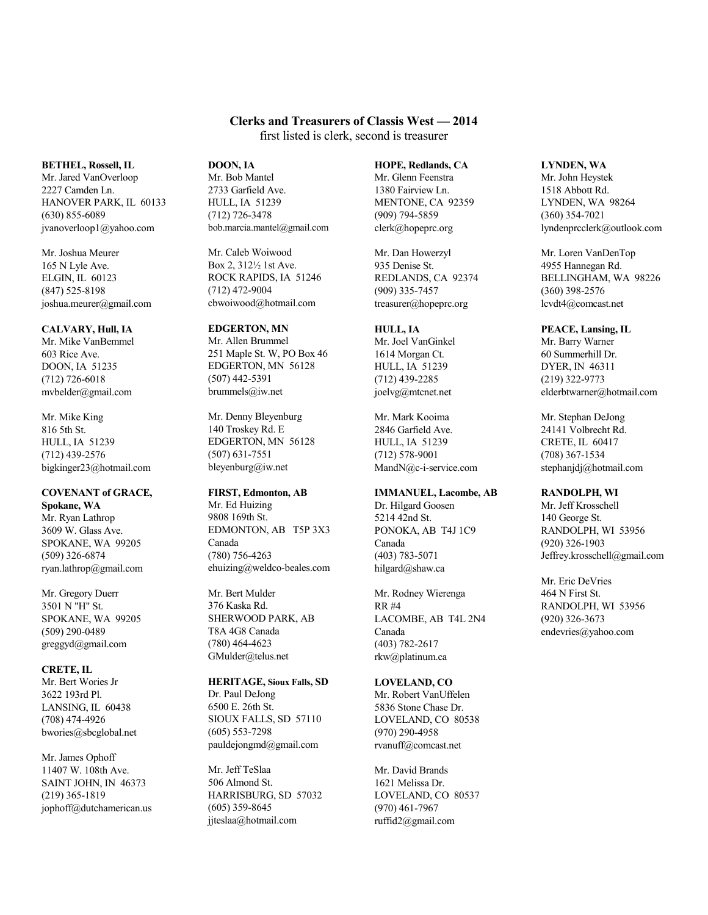# **Clerks and Treasurers of Classis West — 2014**

first listed is clerk, second is treasurer

#### **BETHEL, Rossell, IL**

Mr. Jared VanOverloop 2227 Camden Ln. HANOVER PARK, IL 60133 (630) 855-6089 jvanoverloop1@yahoo.com

### Mr. Joshua Meurer 165 N Lyle Ave. ELGIN, IL 60123 (847) 525-8198 joshua.meurer@gmail.com

**CALVARY, Hull, IA** Mr. Mike VanBemmel 603 Rice Ave. DOON, IA 51235 (712) 726-6018 mvbelder@gmail.com

### Mr. Mike King 816 5th St. HULL, IA 51239 (712) 439-2576 bigkinger23@hotmail.com

**COVENANT of GRACE, Spokane, WA** Mr. Ryan Lathrop 3609 W. Glass Ave. SPOKANE, WA 99205 (509) 326-6874 ryan.lathrop@gmail.com

Mr. Gregory Duerr 3501 N "H" St. SPOKANE, WA 99205 (509) 290-0489 greggyd@gmail.com

**CRETE, IL** Mr. Bert Wories Jr 3622 193rd Pl. LANSING, IL 60438 (708) 474-4926 bwories@sbcglobal.net

## Mr. James Ophoff 11407 W. 108th Ave. SAINT JOHN, IN 46373 (219) 365-1819 jophoff@dutchamerican.us

# **DOON, IA**

Mr. Bob Mantel 2733 Garfield Ave. HULL, IA 51239 (712) 726-3478 bob.marcia.mantel@gmail.com

Mr. Caleb Woiwood Box 2, 312½ 1st Ave. ROCK RAPIDS, IA 51246 (712) 472-9004 cbwoiwood@hotmail.com

#### **EDGERTON, MN** Mr. Allen Brummel

251 Maple St. W, PO Box 46 EDGERTON, MN 56128 (507) 442-5391 brummels@iw.net

Mr. Denny Bleyenburg 140 Troskey Rd. E EDGERTON, MN 56128 (507) 631-7551 bleyenburg@iw.net

# **FIRST, Edmonton, AB**

Mr. Ed Huizing 9808 169th St. EDMONTON, AB T5P 3X3 Canada (780) 756-4263 ehuizing@weldco-beales.com

Mr. Bert Mulder 376 Kaska Rd. SHERWOOD PARK, AB T8A 4G8 Canada (780) 464-4623 GMulder@telus.net

### **HERITAGE, Sioux Falls, SD** Dr. Paul DeJong 6500 E. 26th St. SIOUX FALLS, SD 57110 (605) 553-7298 pauldejongmd@gmail.com

Mr. Jeff TeSlaa 506 Almond St. HARRISBURG, SD 57032 (605) 359-8645 jjteslaa@hotmail.com

# **HOPE, Redlands, CA**

Mr. Glenn Feenstra 1380 Fairview Ln. MENTONE, CA 92359 (909) 794-5859 clerk@hopeprc.org

Mr. Dan Howerzyl 935 Denise St. REDLANDS, CA 92374 (909) 335-7457 treasurer@hopeprc.org

# **HULL, IA**

Mr. Joel VanGinkel 1614 Morgan Ct. HULL, IA 51239 (712) 439-2285 joelvg@mtcnet.net

Mr. Mark Kooima 2846 Garfield Ave. HULL, IA 51239 (712) 578-9001 MandN@c-i-service.com

# **IMMANUEL, Lacombe, AB**

Dr. Hilgard Goosen 5214 42nd St. PONOKA, AB T4J 1C9 Canada (403) 783-5071 hilgard@shaw.ca

Mr. Rodney Wierenga RR #4 LACOMBE, AB T4L 2N4 Canada (403) 782-2617 rkw@platinum.ca

# **LOVELAND, CO**

Mr. Robert VanUffelen 5836 Stone Chase Dr. LOVELAND, CO 80538 (970) 290-4958 rvanuff@comcast.net

Mr. David Brands 1621 Melissa Dr. LOVELAND, CO 80537 (970) 461-7967 ruffid2@gmail.com

# **LYNDEN, WA**

Mr. John Heystek 1518 Abbott Rd. LYNDEN, WA 98264 (360) 354-7021 lyndenprcclerk@outlook.com

Mr. Loren VanDenTop 4955 Hannegan Rd. BELLINGHAM, WA 98226 (360) 398-2576 lcvdt4@comcast.net

# **PEACE, Lansing, IL**

Mr. Barry Warner 60 Summerhill Dr. DYER, IN 46311 (219) 322-9773 elderbtwarner@hotmail.com

Mr. Stephan DeJong 24141 Volbrecht Rd. CRETE, IL 60417 (708) 367-1534 stephanjdj@hotmail.com

# **RANDOLPH, WI**

Mr. Jeff Krosschell 140 George St. RANDOLPH, WI 53956 (920) 326-1903 Jeffrey.krosschell@gmail.com

Mr. Eric DeVries 464 N First St. RANDOLPH, WI 53956 (920) 326-3673 endevries@yahoo.com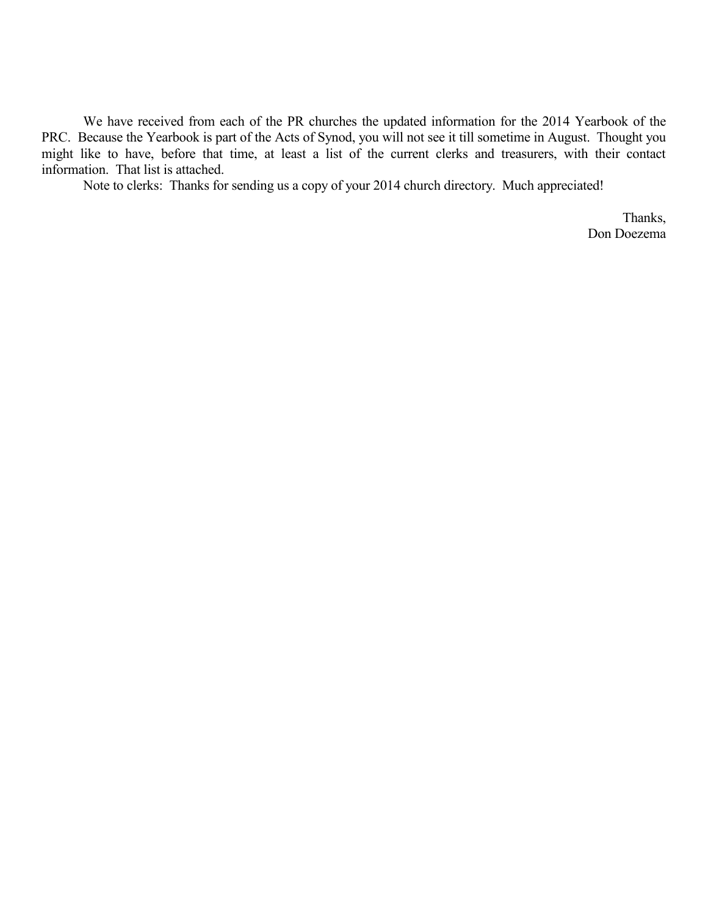We have received from each of the PR churches the updated information for the 2014 Yearbook of the PRC. Because the Yearbook is part of the Acts of Synod, you will not see it till sometime in August. Thought you might like to have, before that time, at least a list of the current clerks and treasurers, with their contact information. That list is attached.

Note to clerks: Thanks for sending us a copy of your 2014 church directory. Much appreciated!

Thanks, Don Doezema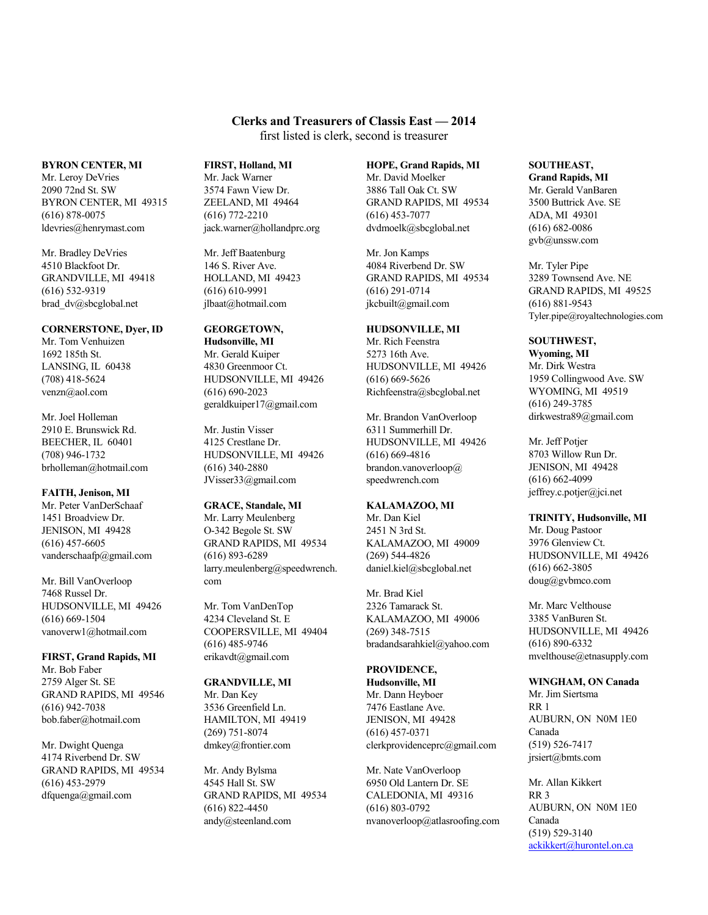# **Clerks and Treasurers of Classis East — 2014**

first listed is clerk, second is treasurer

#### **BYRON CENTER, MI**

Mr. Leroy DeVries 2090 72nd St. SW BYRON CENTER, MI 49315 (616) 878-0075 ldevries@henrymast.com

Mr. Bradley DeVries 4510 Blackfoot Dr. GRANDVILLE, MI 49418 (616) 532-9319 brad\_dv@sbcglobal.net

# **CORNERSTONE, Dyer, ID**

Mr. Tom Venhuizen 1692 185th St. LANSING, IL 60438 (708) 418-5624 venzn@aol.com

Mr. Joel Holleman 2910 E. Brunswick Rd. BEECHER, IL 60401 (708) 946-1732 brholleman@hotmail.com

**FAITH, Jenison, MI** Mr. Peter VanDerSchaaf 1451 Broadview Dr. JENISON, MI 49428 (616) 457-6605 vanderschaafp@gmail.com

Mr. Bill VanOverloop 7468 Russel Dr. HUDSONVILLE, MI 49426 (616) 669-1504 vanoverw1@hotmail.com

**FIRST, Grand Rapids, MI** Mr. Bob Faber 2759 Alger St. SE GRAND RAPIDS, MI 49546 (616) 942-7038 bob.faber@hotmail.com

Mr. Dwight Quenga 4174 Riverbend Dr. SW GRAND RAPIDS, MI 49534 (616) 453-2979 dfquenga@gmail.com

# **FIRST, Holland, MI**

Mr. Jack Warner 3574 Fawn View Dr. ZEELAND, MI 49464 (616) 772-2210 jack.warner@hollandprc.org

Mr. Jeff Baatenburg 146 S. River Ave. HOLLAND, MI 49423 (616) 610-9991 jlbaat@hotmail.com

# **GEORGETOWN,**

**Hudsonville, MI** Mr. Gerald Kuiper 4830 Greenmoor Ct. HUDSONVILLE, MI 49426 (616) 690-2023 geraldkuiper17@gmail.com

Mr. Justin Visser 4125 Crestlane Dr. HUDSONVILLE, MI 49426 (616) 340-2880 JVisser33@gmail.com

# **GRACE, Standale, MI**

Mr. Larry Meulenberg O-342 Begole St. SW GRAND RAPIDS, MI 49534 (616) 893-6289 larry.meulenberg@speedwrench. com

Mr. Tom VanDenTop 4234 Cleveland St. E COOPERSVILLE, MI 49404 (616) 485-9746 erikavdt@gmail.com

# **GRANDVILLE, MI**

Mr. Dan Key 3536 Greenfield Ln. HAMILTON, MI 49419 (269) 751-8074 dmkey@frontier.com

Mr. Andy Bylsma 4545 Hall St. SW GRAND RAPIDS, MI 49534 (616) 822-4450 andy@steenland.com

#### **HOPE, Grand Rapids, MI**

Mr. David Moelker 3886 Tall Oak Ct. SW GRAND RAPIDS, MI 49534 (616) 453-7077 dvdmoelk@sbcglobal.net

Mr. Jon Kamps 4084 Riverbend Dr. SW GRAND RAPIDS, MI 49534 (616) 291-0714 jkcbuilt@gmail.com

# **HUDSONVILLE, MI**

Mr. Rich Feenstra 5273 16th Ave. HUDSONVILLE, MI 49426 (616) 669-5626 Richfeenstra@sbcglobal.net

Mr. Brandon VanOverloop 6311 Summerhill Dr. HUDSONVILLE, MI 49426 (616) 669-4816 brandon.vanoverloop@ speedwrench.com

# **KALAMAZOO, MI**

Mr. Dan Kiel 2451 N 3rd St. KALAMAZOO, MI 49009 (269) 544-4826 daniel.kiel@sbcglobal.net

Mr. Brad Kiel 2326 Tamarack St. KALAMAZOO, MI 49006 (269) 348-7515 bradandsarahkiel@yahoo.com

# **PROVIDENCE,**

**Hudsonville, MI** Mr. Dann Heyboer 7476 Eastlane Ave. JENISON, MI 49428 (616) 457-0371 clerkprovidenceprc@gmail.com

Mr. Nate VanOverloop 6950 Old Lantern Dr. SE CALEDONIA, MI 49316 (616) 803-0792 nvanoverloop@atlasroofing.com

# **SOUTHEAST,**

**Grand Rapids, MI** Mr. Gerald VanBaren 3500 Buttrick Ave. SE ADA, MI 49301 (616) 682-0086 gvb@unssw.com

Mr. Tyler Pipe 3289 Townsend Ave. NE GRAND RAPIDS, MI 49525 (616) 881-9543 Tyler.pipe@royaltechnologies.com

# **SOUTHWEST,**

**Wyoming, MI** Mr. Dirk Westra 1959 Collingwood Ave. SW WYOMING, MI 49519 (616) 249-3785 dirkwestra89@gmail.com

Mr. Jeff Potjer 8703 Willow Run Dr. JENISON, MI 49428 (616) 662-4099 jeffrey.c.potjer@jci.net

# **TRINITY, Hudsonville, MI**

Mr. Doug Pastoor 3976 Glenview Ct. HUDSONVILLE, MI 49426 (616) 662-3805 doug@gvbmco.com

Mr. Marc Velthouse 3385 VanBuren St. HUDSONVILLE, MI 49426 (616) 890-6332 mvelthouse@etnasupply.com

# **WINGHAM, ON Canada**

Mr. Jim Siertsma RR 1 AUBURN, ON N0M 1E0 Canada (519) 526-7417 jrsiert@bmts.com

Mr. Allan Kikkert RR 3 AUBURN, ON N0M 1E0 Canada (519) 529-3140 [ackikkert@hurontel.on.ca](mailto:ackikkert@hurontel.on.ca)